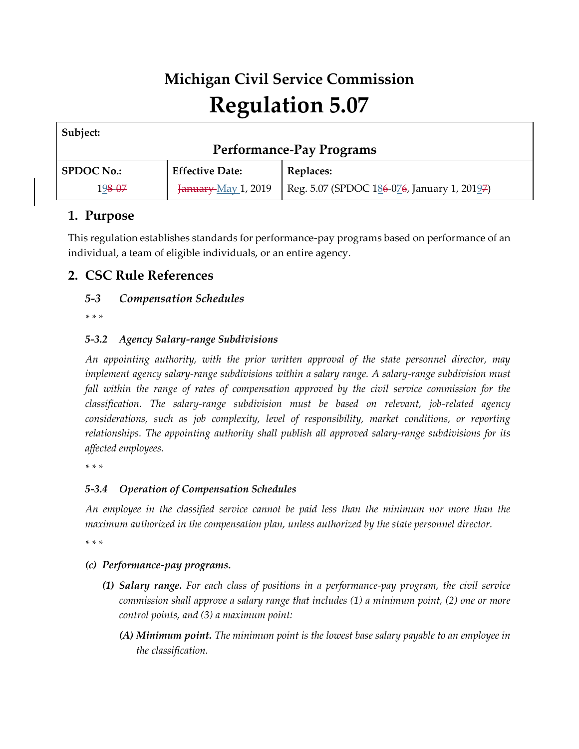# **Michigan Civil Service Commission Regulation 5.07**

| Subject:                        |                        |                                             |
|---------------------------------|------------------------|---------------------------------------------|
| <b>Performance-Pay Programs</b> |                        |                                             |
| <b>SPDOC No.:</b>               | <b>Effective Date:</b> | Replaces:                                   |
| 198-07                          | January-May 1, 2019    | Reg. 5.07 (SPDOC 186-076, January 1, 20197) |

## **1. Purpose**

This regulation establishes standards for performance-pay programs based on performance of an individual, a team of eligible individuals, or an entire agency.

## **2. CSC Rule References**

### *5-3 Compensation Schedules*

*\* \* \** 

#### *5-3.2 Agency Salary-range Subdivisions*

*An appointing authority, with the prior written approval of the state personnel director, may implement agency salary-range subdivisions within a salary range. A salary-range subdivision must*  fall within the range of rates of compensation approved by the civil service commission for the *classification. The salary-range subdivision must be based on relevant, job-related agency considerations, such as job complexity, level of responsibility, market conditions, or reporting relationships. The appointing authority shall publish all approved salary-range subdivisions for its affected employees.*

*\* \* \** 

#### *5-3.4 Operation of Compensation Schedules*

*An employee in the classified service cannot be paid less than the minimum nor more than the maximum authorized in the compensation plan, unless authorized by the state personnel director.*

*\* \* \** 

#### *(c) Performance-pay programs.*

- *(1) Salary range. For each class of positions in a performance-pay program, the civil service commission shall approve a salary range that includes (1) a minimum point, (2) one or more control points, and (3) a maximum point:*
	- *(A) Minimum point. The minimum point is the lowest base salary payable to an employee in the classification.*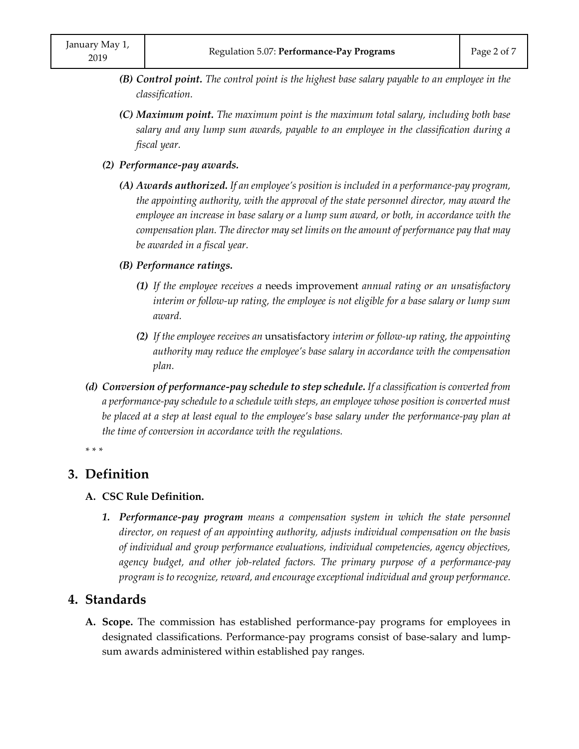- *(B) Control point. The control point is the highest base salary payable to an employee in the classification.*
- *(C) Maximum point. The maximum point is the maximum total salary, including both base salary and any lump sum awards, payable to an employee in the classification during a fiscal year.*
- *(2) Performance-pay awards.*
	- *(A) Awards authorized. If an employee's position is included in a performance-pay program, the appointing authority, with the approval of the state personnel director, may award the employee an increase in base salary or a lump sum award, or both, in accordance with the compensation plan. The director may set limits on the amount of performance pay that may be awarded in a fiscal year.*
	- *(B) Performance ratings.*
		- *(1) If the employee receives a* needs improvement *annual rating or an unsatisfactory interim or follow-up rating, the employee is not eligible for a base salary or lump sum award.*
		- *(2) If the employee receives an* unsatisfactory *interim or follow-up rating, the appointing authority may reduce the employee's base salary in accordance with the compensation plan.*
- *(d) Conversion of performance-pay schedule to step schedule. If a classification is converted from a performance-pay schedule to a schedule with steps, an employee whose position is converted must be placed at a step at least equal to the employee's base salary under the performance-pay plan at the time of conversion in accordance with the regulations.*

*\* \* \** 

### **3. Definition**

#### **A. CSC Rule Definition.**

**1. Performance-pay program** means a compensation system in which the state personnel *director, on request of an appointing authority, adjusts individual compensation on the basis of individual and group performance evaluations, individual competencies, agency objectives, agency budget, and other job-related factors. The primary purpose of a performance-pay program is to recognize, reward, and encourage exceptional individual and group performance.*

#### **4. Standards**

**A. Scope.** The commission has established performance-pay programs for employees in designated classifications. Performance-pay programs consist of base-salary and lumpsum awards administered within established pay ranges.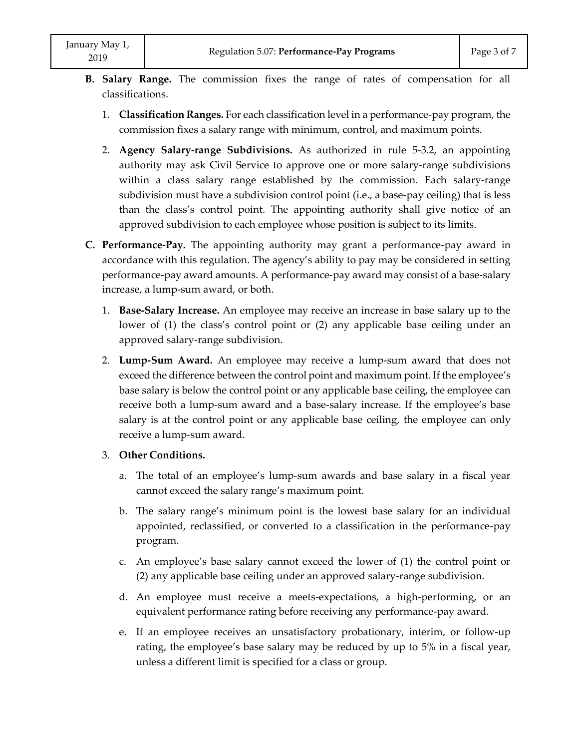- **B. Salary Range.** The commission fixes the range of rates of compensation for all classifications.
	- 1. **Classification Ranges.** For each classification level in a performance-pay program, the commission fixes a salary range with minimum, control, and maximum points.
	- 2. **Agency Salary-range Subdivisions.** As authorized in rule 5-3.2, an appointing authority may ask Civil Service to approve one or more salary-range subdivisions within a class salary range established by the commission. Each salary-range subdivision must have a subdivision control point (i.e., a base-pay ceiling) that is less than the class's control point. The appointing authority shall give notice of an approved subdivision to each employee whose position is subject to its limits.
- **C. Performance-Pay.** The appointing authority may grant a performance-pay award in accordance with this regulation. The agency's ability to pay may be considered in setting performance-pay award amounts. A performance-pay award may consist of a base-salary increase, a lump-sum award, or both.
	- 1. **Base-Salary Increase.** An employee may receive an increase in base salary up to the lower of (1) the class's control point or (2) any applicable base ceiling under an approved salary-range subdivision.
	- 2. **Lump-Sum Award.** An employee may receive a lump-sum award that does not exceed the difference between the control point and maximum point. If the employee's base salary is below the control point or any applicable base ceiling, the employee can receive both a lump-sum award and a base-salary increase. If the employee's base salary is at the control point or any applicable base ceiling, the employee can only receive a lump-sum award.
	- 3. **Other Conditions.**
		- a. The total of an employee's lump-sum awards and base salary in a fiscal year cannot exceed the salary range's maximum point.
		- b. The salary range's minimum point is the lowest base salary for an individual appointed, reclassified, or converted to a classification in the performance-pay program.
		- c. An employee's base salary cannot exceed the lower of (1) the control point or (2) any applicable base ceiling under an approved salary-range subdivision.
		- d. An employee must receive a meets-expectations, a high-performing, or an equivalent performance rating before receiving any performance-pay award.
		- e. If an employee receives an unsatisfactory probationary, interim, or follow-up rating, the employee's base salary may be reduced by up to 5% in a fiscal year, unless a different limit is specified for a class or group.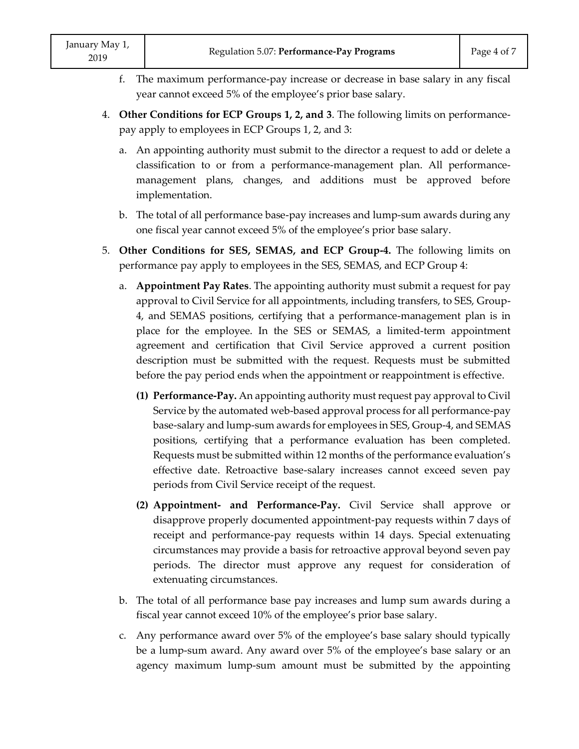- f. The maximum performance-pay increase or decrease in base salary in any fiscal year cannot exceed 5% of the employee's prior base salary.
- 4. **Other Conditions for ECP Groups 1, 2, and 3**. The following limits on performancepay apply to employees in ECP Groups 1, 2, and 3:
	- a. An appointing authority must submit to the director a request to add or delete a classification to or from a performance-management plan. All performancemanagement plans, changes, and additions must be approved before implementation.
	- b. The total of all performance base-pay increases and lump-sum awards during any one fiscal year cannot exceed 5% of the employee's prior base salary.
- 5. **Other Conditions for SES, SEMAS, and ECP Group-4.** The following limits on performance pay apply to employees in the SES, SEMAS, and ECP Group 4:
	- a. **Appointment Pay Rates**. The appointing authority must submit a request for pay approval to Civil Service for all appointments, including transfers, to SES, Group-4, and SEMAS positions, certifying that a performance-management plan is in place for the employee. In the SES or SEMAS, a limited-term appointment agreement and certification that Civil Service approved a current position description must be submitted with the request. Requests must be submitted before the pay period ends when the appointment or reappointment is effective.
		- **(1) Performance-Pay.** An appointing authority must request pay approval to Civil Service by the automated web-based approval process for all performance-pay base-salary and lump-sum awards for employees in SES, Group-4, and SEMAS positions, certifying that a performance evaluation has been completed. Requests must be submitted within 12 months of the performance evaluation's effective date. Retroactive base-salary increases cannot exceed seven pay periods from Civil Service receipt of the request.
		- **(2) Appointment- and Performance-Pay.** Civil Service shall approve or disapprove properly documented appointment-pay requests within 7 days of receipt and performance-pay requests within 14 days. Special extenuating circumstances may provide a basis for retroactive approval beyond seven pay periods. The director must approve any request for consideration of extenuating circumstances.
	- b. The total of all performance base pay increases and lump sum awards during a fiscal year cannot exceed 10% of the employee's prior base salary.
	- c. Any performance award over 5% of the employee's base salary should typically be a lump-sum award. Any award over 5% of the employee's base salary or an agency maximum lump-sum amount must be submitted by the appointing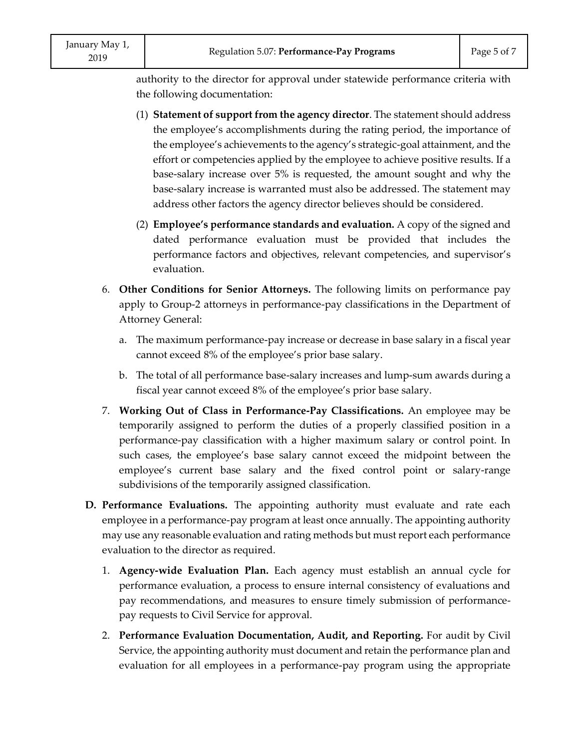authority to the director for approval under statewide performance criteria with the following documentation:

- (1) **Statement of support from the agency director**. The statement should address the employee's accomplishments during the rating period, the importance of the employee's achievements to the agency's strategic-goal attainment, and the effort or competencies applied by the employee to achieve positive results. If a base-salary increase over 5% is requested, the amount sought and why the base-salary increase is warranted must also be addressed. The statement may address other factors the agency director believes should be considered.
- (2) **Employee's performance standards and evaluation.** A copy of the signed and dated performance evaluation must be provided that includes the performance factors and objectives, relevant competencies, and supervisor's evaluation.
- 6. **Other Conditions for Senior Attorneys.** The following limits on performance pay apply to Group-2 attorneys in performance-pay classifications in the Department of Attorney General:
	- a. The maximum performance-pay increase or decrease in base salary in a fiscal year cannot exceed 8% of the employee's prior base salary.
	- b. The total of all performance base-salary increases and lump-sum awards during a fiscal year cannot exceed 8% of the employee's prior base salary.
- 7. **Working Out of Class in Performance-Pay Classifications.** An employee may be temporarily assigned to perform the duties of a properly classified position in a performance-pay classification with a higher maximum salary or control point. In such cases, the employee's base salary cannot exceed the midpoint between the employee's current base salary and the fixed control point or salary-range subdivisions of the temporarily assigned classification.
- **D. Performance Evaluations.** The appointing authority must evaluate and rate each employee in a performance-pay program at least once annually. The appointing authority may use any reasonable evaluation and rating methods but must report each performance evaluation to the director as required.
	- 1. **Agency-wide Evaluation Plan.** Each agency must establish an annual cycle for performance evaluation, a process to ensure internal consistency of evaluations and pay recommendations, and measures to ensure timely submission of performancepay requests to Civil Service for approval.
	- 2. **Performance Evaluation Documentation, Audit, and Reporting.** For audit by Civil Service, the appointing authority must document and retain the performance plan and evaluation for all employees in a performance-pay program using the appropriate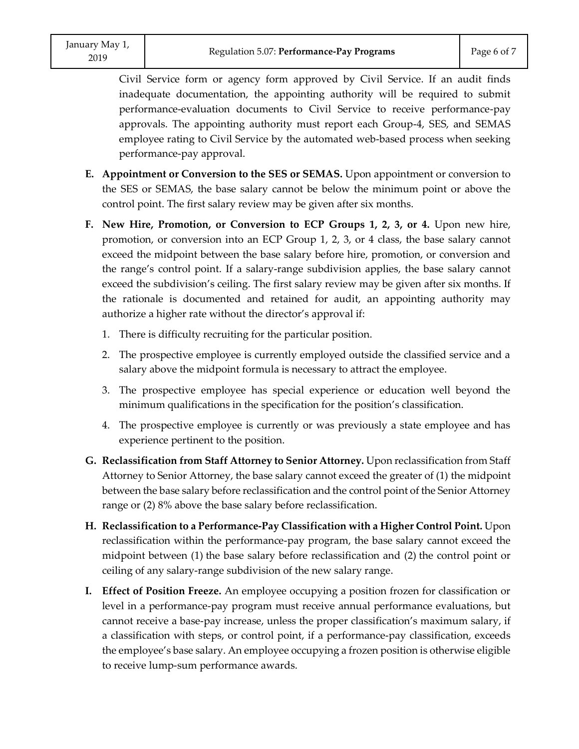Civil Service form or agency form approved by Civil Service. If an audit finds inadequate documentation, the appointing authority will be required to submit performance-evaluation documents to Civil Service to receive performance-pay approvals. The appointing authority must report each Group-4, SES, and SEMAS employee rating to Civil Service by the automated web-based process when seeking performance-pay approval.

- **E. Appointment or Conversion to the SES or SEMAS.** Upon appointment or conversion to the SES or SEMAS, the base salary cannot be below the minimum point or above the control point. The first salary review may be given after six months.
- **F. New Hire, Promotion, or Conversion to ECP Groups 1, 2, 3, or 4.** Upon new hire, promotion, or conversion into an ECP Group 1, 2, 3, or 4 class, the base salary cannot exceed the midpoint between the base salary before hire, promotion, or conversion and the range's control point. If a salary-range subdivision applies, the base salary cannot exceed the subdivision's ceiling. The first salary review may be given after six months. If the rationale is documented and retained for audit, an appointing authority may authorize a higher rate without the director's approval if:
	- 1. There is difficulty recruiting for the particular position.
	- 2. The prospective employee is currently employed outside the classified service and a salary above the midpoint formula is necessary to attract the employee.
	- 3. The prospective employee has special experience or education well beyond the minimum qualifications in the specification for the position's classification.
	- 4. The prospective employee is currently or was previously a state employee and has experience pertinent to the position.
- **G. Reclassification from Staff Attorney to Senior Attorney.** Upon reclassification from Staff Attorney to Senior Attorney, the base salary cannot exceed the greater of (1) the midpoint between the base salary before reclassification and the control point of the Senior Attorney range or (2) 8% above the base salary before reclassification.
- **H. Reclassification to a Performance-Pay Classification with a Higher Control Point.** Upon reclassification within the performance-pay program, the base salary cannot exceed the midpoint between (1) the base salary before reclassification and (2) the control point or ceiling of any salary-range subdivision of the new salary range.
- **I. Effect of Position Freeze.** An employee occupying a position frozen for classification or level in a performance-pay program must receive annual performance evaluations, but cannot receive a base-pay increase, unless the proper classification's maximum salary, if a classification with steps, or control point, if a performance-pay classification, exceeds the employee's base salary. An employee occupying a frozen position is otherwise eligible to receive lump-sum performance awards.